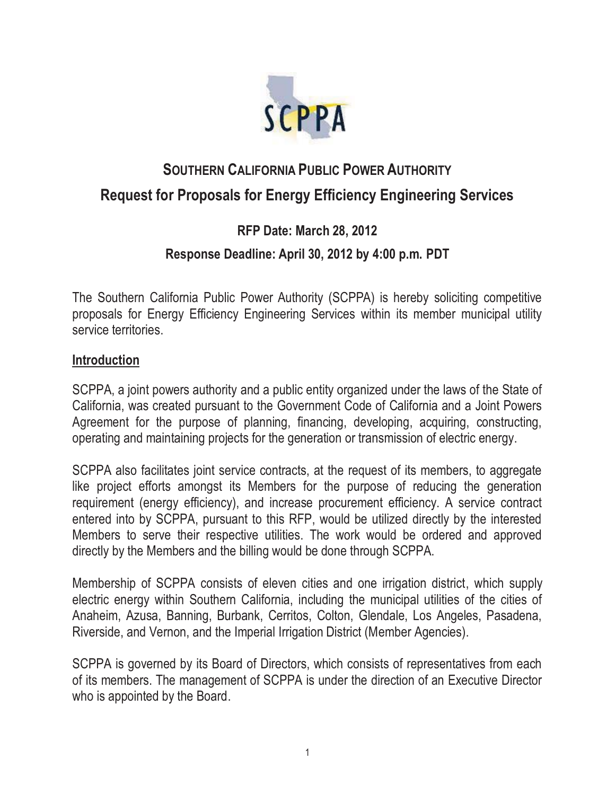

# **SOUTHERN CALIFORNIA PUBLIC POWER AUTHORITY Request for Proposals for Energy Efficiency Engineering Services**

# **RFP Date: March 28, 2012**

## **Response Deadline: April 30, 2012 by 4:00 p.m. PDT**

The Southern California Public Power Authority (SCPPA) is hereby soliciting competitive proposals for Energy Efficiency Engineering Services within its member municipal utility service territories.

## **Introduction**

SCPPA, a joint powers authority and a public entity organized under the laws of the State of California, was created pursuant to the Government Code of California and a Joint Powers Agreement for the purpose of planning, financing, developing, acquiring, constructing, operating and maintaining projects for the generation or transmission of electric energy.

SCPPA also facilitates joint service contracts, at the request of its members, to aggregate like project efforts amongst its Members for the purpose of reducing the generation requirement (energy efficiency), and increase procurement efficiency. A service contract entered into by SCPPA, pursuant to this RFP, would be utilized directly by the interested Members to serve their respective utilities. The work would be ordered and approved directly by the Members and the billing would be done through SCPPA.

Membership of SCPPA consists of eleven cities and one irrigation district, which supply electric energy within Southern California, including the municipal utilities of the cities of Anaheim, Azusa, Banning, Burbank, Cerritos, Colton, Glendale, Los Angeles, Pasadena, Riverside, and Vernon, and the Imperial Irrigation District (Member Agencies).

SCPPA is governed by its Board of Directors, which consists of representatives from each of its members. The management of SCPPA is under the direction of an Executive Director who is appointed by the Board.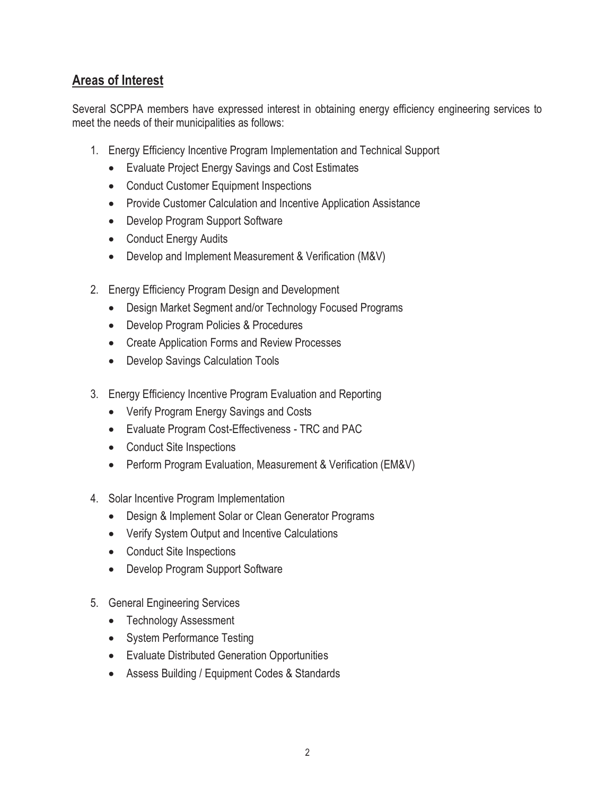## **Areas of Interest**

Several SCPPA members have expressed interest in obtaining energy efficiency engineering services to meet the needs of their municipalities as follows:

- 1. Energy Efficiency Incentive Program Implementation and Technical Support
	- Evaluate Project Energy Savings and Cost Estimates
	- **•** Conduct Customer Equipment Inspections
	- Provide Customer Calculation and Incentive Application Assistance
	- Develop Program Support Software
	- Conduct Energy Audits
	- Develop and Implement Measurement & Verification (M&V)
- 2. Energy Efficiency Program Design and Development
	- Design Market Segment and/or Technology Focused Programs
	- Develop Program Policies & Procedures
	- Create Application Forms and Review Processes
	- **•** Develop Savings Calculation Tools
- 3. Energy Efficiency Incentive Program Evaluation and Reporting
	- Verify Program Energy Savings and Costs
	- Evaluate Program Cost-Effectiveness TRC and PAC
	- Conduct Site Inspections
	- Perform Program Evaluation, Measurement & Verification (EM&V)
- 4. Solar Incentive Program Implementation
	- Design & Implement Solar or Clean Generator Programs
	- Verify System Output and Incentive Calculations
	- Conduct Site Inspections
	- Develop Program Support Software
- 5. General Engineering Services
	- Technology Assessment
	- System Performance Testing
	- Evaluate Distributed Generation Opportunities
	- **Assess Building / Equipment Codes & Standards**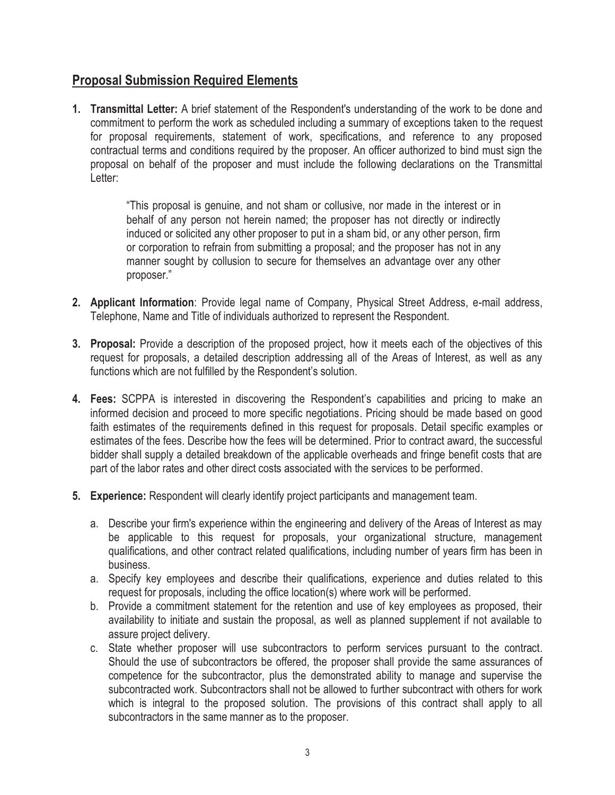## **Proposal Submission Required Elements**

**1. Transmittal Letter:** A brief statement of the Respondent's understanding of the work to be done and commitment to perform the work as scheduled including a summary of exceptions taken to the request for proposal requirements, statement of work, specifications, and reference to any proposed contractual terms and conditions required by the proposer. An officer authorized to bind must sign the proposal on behalf of the proposer and must include the following declarations on the Transmittal Letter:

> "This proposal is genuine, and not sham or collusive, nor made in the interest or in behalf of any person not herein named; the proposer has not directly or indirectly induced or solicited any other proposer to put in a sham bid, or any other person, firm or corporation to refrain from submitting a proposal; and the proposer has not in any manner sought by collusion to secure for themselves an advantage over any other proposer."

- **2. Applicant Information**: Provide legal name of Company, Physical Street Address, e-mail address, Telephone, Name and Title of individuals authorized to represent the Respondent.
- **3. Proposal:** Provide a description of the proposed project, how it meets each of the objectives of this request for proposals, a detailed description addressing all of the Areas of Interest, as well as any functions which are not fulfilled by the Respondent's solution.
- **4. Fees:** SCPPA is interested in discovering the Respondent's capabilities and pricing to make an informed decision and proceed to more specific negotiations. Pricing should be made based on good faith estimates of the requirements defined in this request for proposals. Detail specific examples or estimates of the fees. Describe how the fees will be determined. Prior to contract award, the successful bidder shall supply a detailed breakdown of the applicable overheads and fringe benefit costs that are part of the labor rates and other direct costs associated with the services to be performed.
- **5. Experience:** Respondent will clearly identify project participants and management team.
	- a. Describe your firm's experience within the engineering and delivery of the Areas of Interest as may be applicable to this request for proposals, your organizational structure, management qualifications, and other contract related qualifications, including number of years firm has been in business.
	- a. Specify key employees and describe their qualifications, experience and duties related to this request for proposals, including the office location(s) where work will be performed.
	- b. Provide a commitment statement for the retention and use of key employees as proposed, their availability to initiate and sustain the proposal, as well as planned supplement if not available to assure project delivery.
	- c. State whether proposer will use subcontractors to perform services pursuant to the contract. Should the use of subcontractors be offered, the proposer shall provide the same assurances of competence for the subcontractor, plus the demonstrated ability to manage and supervise the subcontracted work. Subcontractors shall not be allowed to further subcontract with others for work which is integral to the proposed solution. The provisions of this contract shall apply to all subcontractors in the same manner as to the proposer.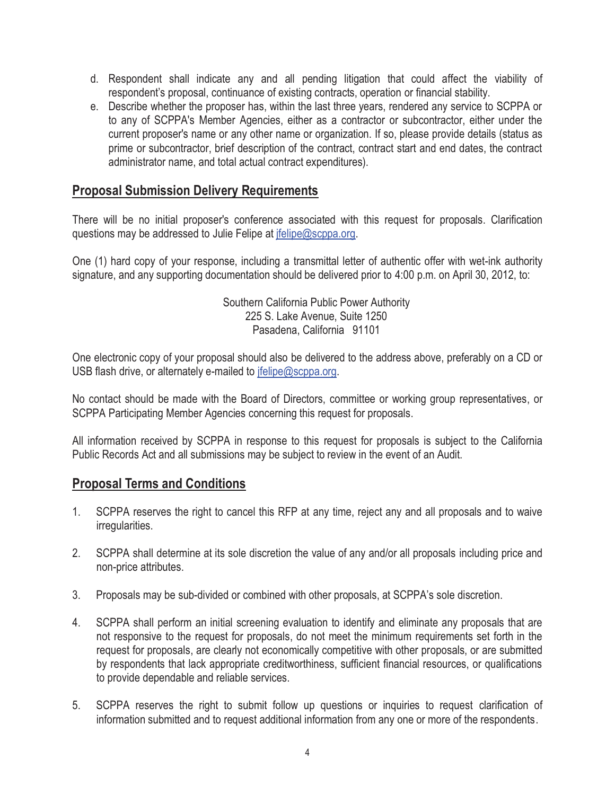- d. Respondent shall indicate any and all pending litigation that could affect the viability of respondent's proposal, continuance of existing contracts, operation or financial stability.
- e. Describe whether the proposer has, within the last three years, rendered any service to SCPPA or to any of SCPPA's Member Agencies, either as a contractor or subcontractor, either under the current proposer's name or any other name or organization. If so, please provide details (status as prime or subcontractor, brief description of the contract, contract start and end dates, the contract administrator name, and total actual contract expenditures).

## **Proposal Submission Delivery Requirements**

There will be no initial proposer's conference associated with this request for proposals. Clarification questions may be addressed to Julie Felipe at jfelipe@scppa.org.

One (1) hard copy of your response, including a transmittal letter of authentic offer with wet-ink authority signature, and any supporting documentation should be delivered prior to 4:00 p.m. on April 30, 2012, to:

> Southern California Public Power Authority 225 S. Lake Avenue, Suite 1250 Pasadena, California 91101

One electronic copy of your proposal should also be delivered to the address above, preferably on a CD or USB flash drive, or alternately e-mailed to jfelipe@scppa.org.

No contact should be made with the Board of Directors, committee or working group representatives, or SCPPA Participating Member Agencies concerning this request for proposals.

All information received by SCPPA in response to this request for proposals is subject to the California Public Records Act and all submissions may be subject to review in the event of an Audit.

#### **Proposal Terms and Conditions**

- 1. SCPPA reserves the right to cancel this RFP at any time, reject any and all proposals and to waive irregularities.
- 2. SCPPA shall determine at its sole discretion the value of any and/or all proposals including price and non-price attributes.
- 3. Proposals may be sub-divided or combined with other proposals, at SCPPA's sole discretion.
- 4. SCPPA shall perform an initial screening evaluation to identify and eliminate any proposals that are not responsive to the request for proposals, do not meet the minimum requirements set forth in the request for proposals, are clearly not economically competitive with other proposals, or are submitted by respondents that lack appropriate creditworthiness, sufficient financial resources, or qualifications to provide dependable and reliable services.
- 5. SCPPA reserves the right to submit follow up questions or inquiries to request clarification of information submitted and to request additional information from any one or more of the respondents.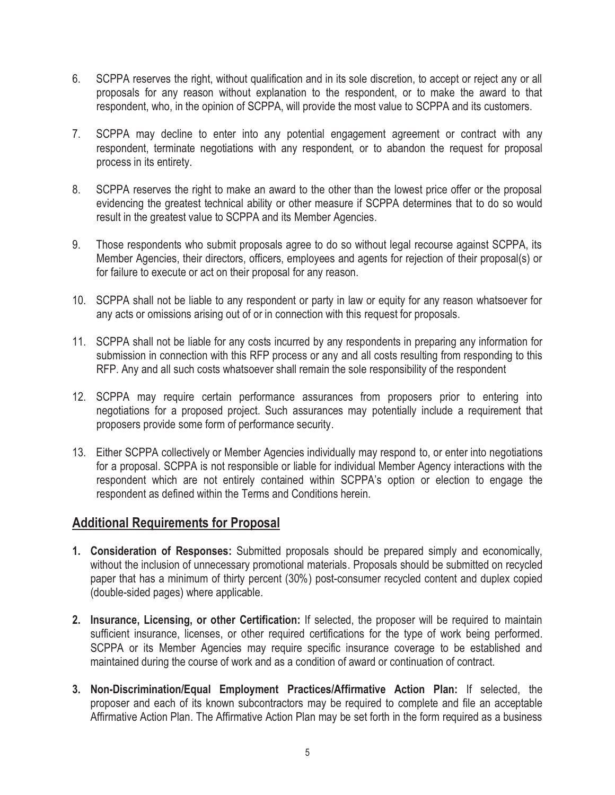- 6. SCPPA reserves the right, without qualification and in its sole discretion, to accept or reject any or all proposals for any reason without explanation to the respondent, or to make the award to that respondent, who, in the opinion of SCPPA, will provide the most value to SCPPA and its customers.
- 7. SCPPA may decline to enter into any potential engagement agreement or contract with any respondent, terminate negotiations with any respondent, or to abandon the request for proposal process in its entirety.
- 8. SCPPA reserves the right to make an award to the other than the lowest price offer or the proposal evidencing the greatest technical ability or other measure if SCPPA determines that to do so would result in the greatest value to SCPPA and its Member Agencies.
- 9. Those respondents who submit proposals agree to do so without legal recourse against SCPPA, its Member Agencies, their directors, officers, employees and agents for rejection of their proposal(s) or for failure to execute or act on their proposal for any reason.
- 10. SCPPA shall not be liable to any respondent or party in law or equity for any reason whatsoever for any acts or omissions arising out of or in connection with this request for proposals.
- 11. SCPPA shall not be liable for any costs incurred by any respondents in preparing any information for submission in connection with this RFP process or any and all costs resulting from responding to this RFP. Any and all such costs whatsoever shall remain the sole responsibility of the respondent
- 12. SCPPA may require certain performance assurances from proposers prior to entering into negotiations for a proposed project. Such assurances may potentially include a requirement that proposers provide some form of performance security.
- 13. Either SCPPA collectively or Member Agencies individually may respond to, or enter into negotiations for a proposal. SCPPA is not responsible or liable for individual Member Agency interactions with the respondent which are not entirely contained within SCPPA's option or election to engage the respondent as defined within the Terms and Conditions herein.

## **Additional Requirements for Proposal**

- **1. Consideration of Responses:** Submitted proposals should be prepared simply and economically, without the inclusion of unnecessary promotional materials. Proposals should be submitted on recycled paper that has a minimum of thirty percent (30%) post-consumer recycled content and duplex copied (double-sided pages) where applicable.
- **2. Insurance, Licensing, or other Certification:** If selected, the proposer will be required to maintain sufficient insurance, licenses, or other required certifications for the type of work being performed. SCPPA or its Member Agencies may require specific insurance coverage to be established and maintained during the course of work and as a condition of award or continuation of contract.
- **3. Non-Discrimination/Equal Employment Practices/Affirmative Action Plan:** If selected, the proposer and each of its known subcontractors may be required to complete and file an acceptable Affirmative Action Plan. The Affirmative Action Plan may be set forth in the form required as a business